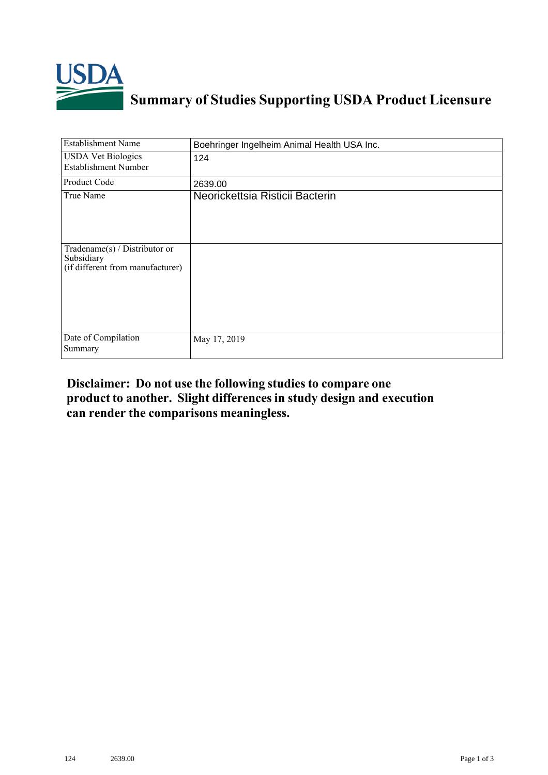

| <b>Establishment Name</b>                                                       | Boehringer Ingelheim Animal Health USA Inc. |
|---------------------------------------------------------------------------------|---------------------------------------------|
| <b>USDA Vet Biologics</b><br><b>Establishment Number</b>                        | 124                                         |
| Product Code                                                                    | 2639.00                                     |
| True Name                                                                       | Neorickettsia Risticii Bacterin             |
| Tradename(s) / Distributor or<br>Subsidiary<br>(if different from manufacturer) |                                             |
| Date of Compilation<br>Summary                                                  | May 17, 2019                                |

## **Disclaimer: Do not use the following studiesto compare one product to another. Slight differencesin study design and execution can render the comparisons meaningless.**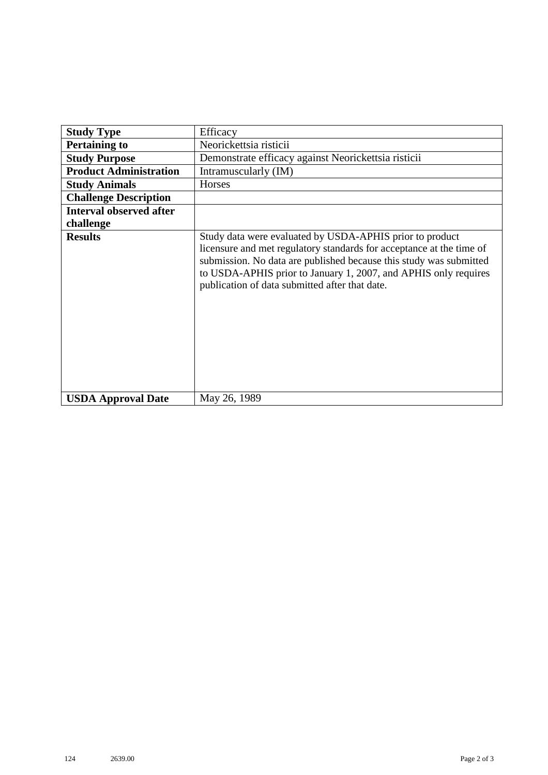| <b>Study Type</b>              | Efficacy                                                                                                                                                                                                                                                                                                                    |
|--------------------------------|-----------------------------------------------------------------------------------------------------------------------------------------------------------------------------------------------------------------------------------------------------------------------------------------------------------------------------|
| <b>Pertaining to</b>           | Neorickettsia risticii                                                                                                                                                                                                                                                                                                      |
| <b>Study Purpose</b>           | Demonstrate efficacy against Neorickettsia risticii                                                                                                                                                                                                                                                                         |
| <b>Product Administration</b>  | Intramuscularly (IM)                                                                                                                                                                                                                                                                                                        |
| <b>Study Animals</b>           | Horses                                                                                                                                                                                                                                                                                                                      |
| <b>Challenge Description</b>   |                                                                                                                                                                                                                                                                                                                             |
| <b>Interval observed after</b> |                                                                                                                                                                                                                                                                                                                             |
| challenge                      |                                                                                                                                                                                                                                                                                                                             |
| <b>Results</b>                 | Study data were evaluated by USDA-APHIS prior to product<br>licensure and met regulatory standards for acceptance at the time of<br>submission. No data are published because this study was submitted<br>to USDA-APHIS prior to January 1, 2007, and APHIS only requires<br>publication of data submitted after that date. |
| <b>USDA Approval Date</b>      | May 26, 1989                                                                                                                                                                                                                                                                                                                |